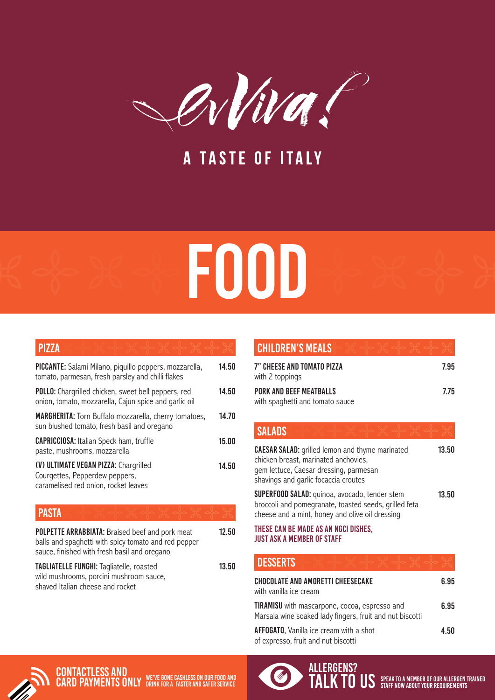

A TASTE OF ITALY

## FOOD

## **PIZZA**

| PICCANTE: Salami Milano, piquillo peppers, mozzarella,<br>tomato, parmesan, fresh parsley and chilli flakes         | 14.50 |
|---------------------------------------------------------------------------------------------------------------------|-------|
| <b>POLLO:</b> Chargrilled chicken, sweet bell peppers, red<br>onion, tomato, mozzarella, Cajun spice and garlic oil | 14.50 |
| <b>MARGHERITA:</b> Torn Buffalo mozzarella, cherry tomatoes,<br>sun blushed tomato, fresh basil and oregano         | 14.70 |
| <b>CAPRICCIOSA:</b> Italian Speck ham, truffle<br>paste, mushrooms, mozzarella                                      | 15.00 |
| (V) ULTIMATE VEGAN PIZZA: Chargrilled<br>Courgettes, Pepperdew peppers,<br>caramelised red onion, rocket leaves     | 14.50 |
| PASTA                                                                                                               |       |

| POLPETTE ARRABBIATA: Braised beef and pork meat<br>balls and spaghetti with spicy tomato and red pepper<br>sauce, finished with fresh basil and oregano | 12.50 | THESE CAN BE MADE AS AN NGCI DISHES,<br><b>JUST ASK A MEMBER OF STAFF</b> |
|---------------------------------------------------------------------------------------------------------------------------------------------------------|-------|---------------------------------------------------------------------------|
| TAGLIATELLE FUNGHI: Tagliatelle, roasted                                                                                                                | 13.50 | <b>I DESSERTS</b>                                                         |
| wild mushrooms, porcini mushroom sauce,<br>shaved Italian cheese and rocket                                                                             |       | <b>CHOCOLATE AND AMORETTI CHEESECAKE</b><br>with vanilla ice cream        |

| <b>CHILDREN'S MEALS</b>                                           |      |
|-------------------------------------------------------------------|------|
| 7" CHEESE AND TOMATO PIZZA<br>with 2 toppings                     | 7.95 |
| <b>PORK AND BEEF MEATBALLS</b><br>with spaghetti and tomato sauce | 7.75 |
| <b>SALADS</b>                                                     |      |

## **CAESAR SALAD:** grilled lemon and thyme marinated chicken breast, marinated anchovies, gem lettuce, Caesar dressing, parmesan shavings and garlic focaccia croutes SUPERFOOD SALAD: quinoa, avocado, tender stem broccoli and pomegranate, toasted seeds, grilled feta cheese and a mint, honey and olive oil dressing 13.50 13.50

| <b>DESSERTS</b>                                                                                                  |      |
|------------------------------------------------------------------------------------------------------------------|------|
| <b>CHOCOLATE AND AMORETTI CHEESECAKE</b><br>with vanilla ice cream                                               | 6.95 |
| <b>TIRAMISU</b> with mascarpone, cocoa, espresso and<br>Marsala wine soaked lady fingers, fruit and nut biscotti | 6.95 |
| <b>AFFOGATO, Vanilla ice cream with a shot</b><br>of expresso, fruit and nut biscotti                            | 4.50 |



**CONTACTLESS AND<br>CARD PAYMENTS ONLY CARD PAYMENTS ONLY** WE'VE GONE CASHLESS ON OUR FOOD AND **CARD PAYMENTS** ONLY DRINK FOR A FASTER AND SAFER SERVICE